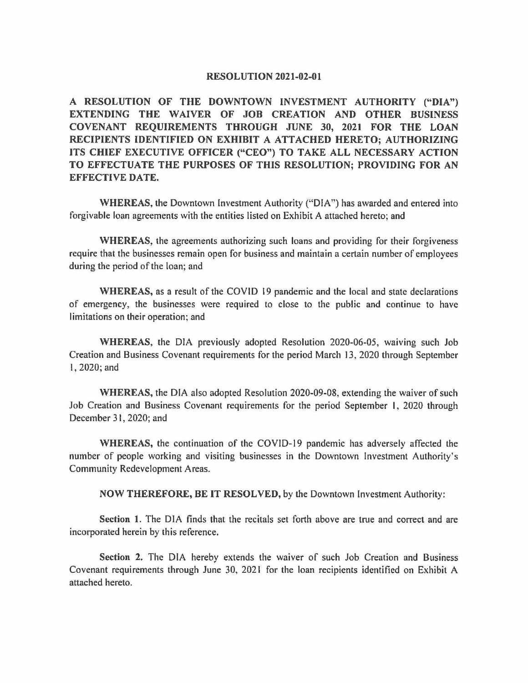## **RESOLUTION 2021-02-01**

**A RESOLUTION OF THE DOWNTOWN INVESTMENT AUTHORITY ("DIA") EXTENDING THE WAIVER OF JOB CREATION AND OTHER BUSINESS COVENANT REQUIREMENTS THROUGH JUNE 30, 2021 FOR THE LOAN RECIPIENTS IDENTIFIED ON EXHIBIT A ATTACHED HERETO; AUTHORIZING ITS CHIEF EXECUTIVE OFFICER ("CEO") TO TAKE ALL NECESSARY ACTION TO EFFECTUATE THE PURPOSES OF THIS RESOLUTION; PROVIDING FOR AN EFFECTIVE DA TE.** 

**WHEREAS,** the Downtown Investment Authority ("DIA") has awarded and entered into forgivable loan agreements with the entities listed on Exhibit A attached hereto; and

**WHEREAS,** the agreements authorizing such loans and providing for their forgiveness require that the businesses remain open for business and maintain a certain number of employees during the period of the loan; and

**WHEREAS,** as a result of the COVID 19 pandemic and the local and state declarations of emergency, the businesses were required to close to the public and continue to have limitations on their operation; and

**WHEREAS,** the DIA previously adopted Resolution 2020-06-05, waiving such Job Creation and Business Covenant requirements for the period March 13, 2020 through September I, 2020; and

**WHEREAS,** the DIA also adopted Resolution 2020-09-08, extending the waiver of such Job Creation and Business Covenant requirements for the period September I, 2020 through December 31, 2020; and

**WHEREAS,** the continuation of the COVID-19 pandemic has adversely affected the number of people working and visiting businesses in the Downtown Investment Authority's Community Redevelopment Areas.

**NOW THEREFORE, BE IT RESOLVED,** by the Downtown Investment Authority:

**Section 1.** The DIA finds that the recitals set forth above are true and correct and are incorporated herein by this reference.

**Section 2.** The DIA hereby extends the waiver of such Job Creation and Business Covenant requirements through June 30, 2021 for the loan recipients identified on Exhibit A attached hereto.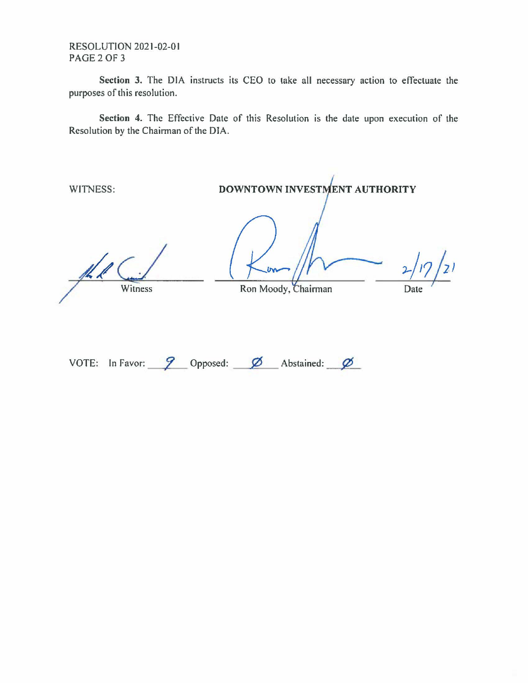RESOLUTION 2021-02-01 PAGE 2 OF 3

**Section 3.** The DIA instructs its CEO to take all necessary action to effectuate the purposes of this resolution.

**Section 4.** The Effective Date of this Resolution is the date upon execution of the Resolution by the Chairman of the DIA.

WITNESS: **DOWNTOWN INVESTMENT AUTHORITY** 

Witness

Ron Moody,

 $2/17/21$ Date

VOTE: In Favor: **9** Opposed: **6** Abstained: **6**